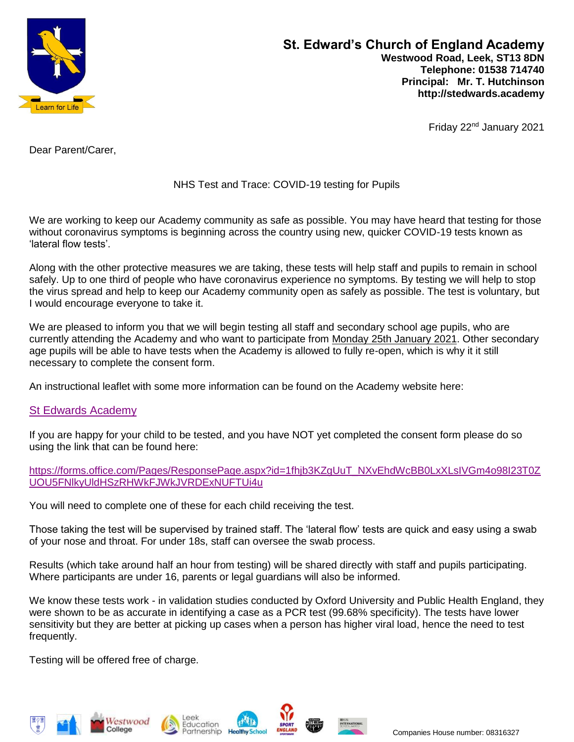

Friday 22nd January 2021

Dear Parent/Carer,

# NHS Test and Trace: COVID-19 testing for Pupils

We are working to keep our Academy community as safe as possible. You may have heard that testing for those without coronavirus symptoms is beginning across the country using new, quicker COVID-19 tests known as 'lateral flow tests'.

Along with the other protective measures we are taking, these tests will help staff and pupils to remain in school safely. Up to one third of people who have coronavirus experience no symptoms. By testing we will help to stop the virus spread and help to keep our Academy community open as safely as possible. The test is voluntary, but I would encourage everyone to take it.

We are pleased to inform you that we will begin testing all staff and secondary school age pupils, who are currently attending the Academy and who want to participate from Monday 25th January 2021. Other secondary age pupils will be able to have tests when the Academy is allowed to fully re-open, which is why it it still necessary to complete the consent form.

An instructional leaflet with some more information can be found on the Academy website here:

# [St Edwards Academy](https://www.stedwards.academy/pastoral/covid-19-guidance)

If you are happy for your child to be tested, and you have NOT yet completed the consent form please do so using the link that can be found here:

You will need to complete one of these for each child receiving the test.

Those taking the test will be supervised by trained staff. The 'lateral flow' tests are quick and easy using a swab of your nose and throat. For under 18s, staff can oversee the swab process.

Results (which take around half an hour from testing) will be shared directly with staff and pupils participating. Where participants are under 16, parents or legal guardians will also be informed.

We know these tests work - in validation studies conducted by Oxford University and Public Health England, they were shown to be as accurate in identifying a case as a PCR test (99.68% specificity). The tests have lower sensitivity but they are better at picking up cases when a person has higher viral load, hence the need to test frequently.

Testing will be offered free of charge.











[https://forms.office.com/Pages/ResponsePage.aspx?id=1fhjb3KZgUuT\\_NXvEhdWcBB0LxXLsIVGm4o98I23T0Z](https://forms.office.com/Pages/ResponsePage.aspx?id=1fhjb3KZgUuT_NXvEhdWcBB0LxXLsIVGm4o98I23T0ZUOU5FNlkyUldHSzRHWkFJWkJVRDExNUFTUi4u) [UOU5FNlkyUldHSzRHWkFJWkJVRDExNUFTUi4u](https://forms.office.com/Pages/ResponsePage.aspx?id=1fhjb3KZgUuT_NXvEhdWcBB0LxXLsIVGm4o98I23T0ZUOU5FNlkyUldHSzRHWkFJWkJVRDExNUFTUi4u)